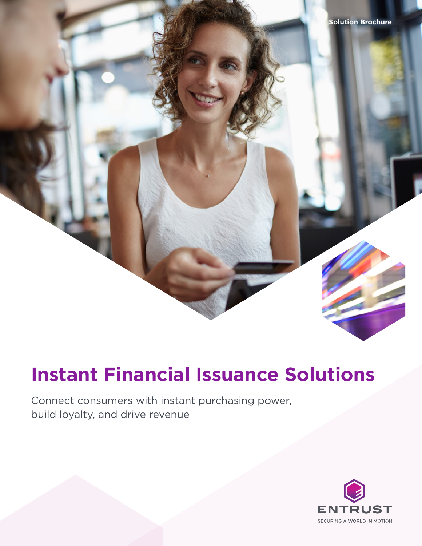

# **Instant Financial Issuance Solutions**

Connect consumers with instant purchasing power, build loyalty, and drive revenue

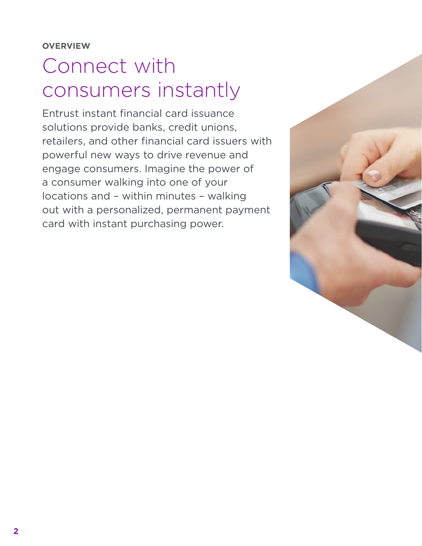# Connect with consumers instantly

Entrust instant financial card issuance solutions provide banks, credit unions, retailers, and other financial card issuers with powerful new ways to drive revenue and engage consumers. Imagine the power of a consumer walking into one of your locations and – within minutes – walking out with a personalized, permanent payment card with instant purchasing power.

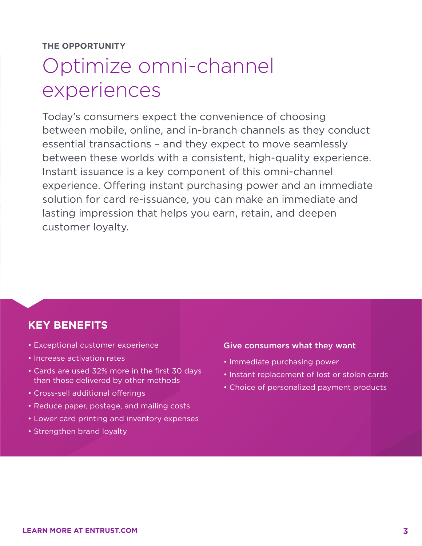**THE OPPORTUNITY** 

# Optimize omni-channel experiences

Today's consumers expect the convenience of choosing between mobile, online, and in-branch channels as they conduct essential transactions – and they expect to move seamlessly between these worlds with a consistent, high-quality experience. Instant issuance is a key component of this omni-channel experience. Offering instant purchasing power and an immediate solution for card re-issuance, you can make an immediate and lasting impression that helps you earn, retain, and deepen customer loyalty.

## **KEY BENEFITS**

- Exceptional customer experience
- Increase activation rates
- Cards are used 32% more in the first 30 days than those delivered by other methods
- Cross-sell additional offerings
- Reduce paper, postage, and mailing costs
- Lower card printing and inventory expenses
- Strengthen brand loyalty

### Give consumers what they want

- Immediate purchasing power
- Instant replacement of lost or stolen cards
- Choice of personalized payment products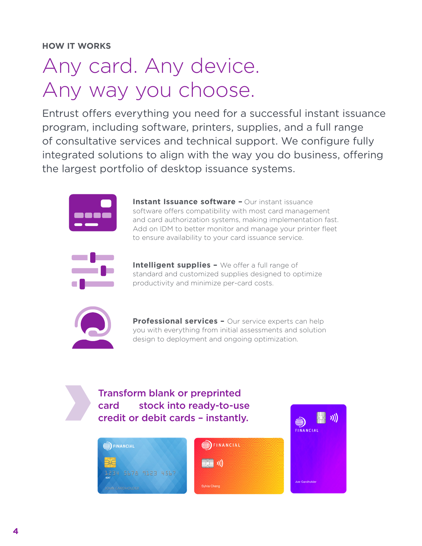# Any card. Any device. Any way you choose.

Entrust offers everything you need for a successful instant issuance program, including software, printers, supplies, and a full range of consultative services and technical support. We configure fully integrated solutions to align with the way you do business, offering the largest portfolio of desktop issuance systems.



**Instant Issuance software - Our instant issuance** software offers compatibility with most card management and card authorization systems, making implementation fast. Add on IDM to better monitor and manage your printer fleet to ensure availability to your card issuance service.



**Intelligent supplies -** We offer a full range of standard and customized supplies designed to optimize productivity and minimize per-card costs.



**Professional services –** Our service experts can help you with everything from initial assessments and solution design to deployment and ongoing optimization.





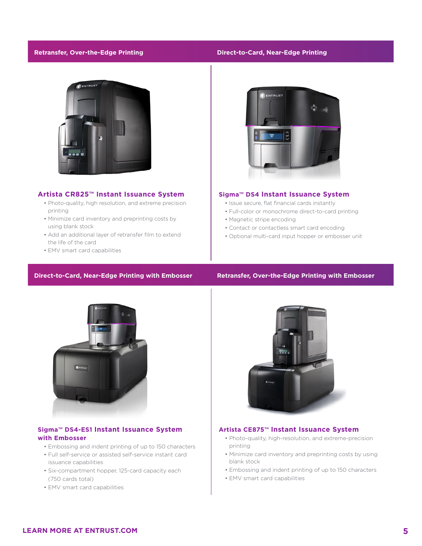### **Retransfer, Over-the-Edge Printing Direct-to-Card, Near-Edge Printing**



#### **Artista CR825™ Instant Issuance System**

- Photo-quality, high resolution, and extreme precision printing
- Minimize card inventory and preprinting costs by using blank stock
- Add an additional layer of retransfer film to extend the life of the card
- EMV smart card capabilities



#### **Sigma™ DS4 Instant Issuance System**

- Issue secure, flat financial cards instantly
- Full-color or monochrome direct-to-card printing
- Magnetic stripe encoding
- Contact or contactless smart card encoding
- Optional multi-card input hopper or embosser unit

### **Direct-to-Card, Near-Edge Printing with Embosser Retransfer, Over-the-Edge Printing with Embosser**



## **Artista CE875™ Instant Issuance System**

- Photo-quality, high-resolution, and extreme-precision printing
- Minimize card inventory and preprinting costs by using blank stock
- Embossing and indent printing of up to 150 characters
- EMV smart card capabilities

### **Sigma™ DS4-ES1 Instant Issuance System with Embosser** • Embossing and indent printing of up to 150 characters

- 
- Full self-service or assisted self-service instant card issuance capabilities
- Six-compartment hopper, 125-card capacity each (750 cards total)
- EMV smart card capabilities